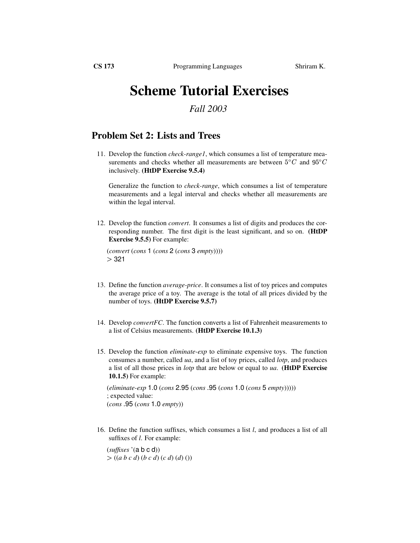## **Scheme Tutorial Exercises**

## *Fall 2003*

## **Problem Set 2: Lists and Trees**

11. Develop the function *check-range1*, which consumes a list of temperature measurements and checks whether all measurements are between  $5^{\circ}C$  and  $95^{\circ}C$ inclusively. **(HtDP Exercise 9.5.4)**

Generalize the function to *check-range*, which consumes a list of temperature measurements and a legal interval and checks whether all measurements are within the legal interval.

12. Develop the function *convert*. It consumes a list of digits and produces the corresponding number. The first digit is the least significant, and so on. **(HtDP Exercise 9.5.5)** For example:

(*convert* (*cons* 1 (*cons* 2 (*cons* 3 *empty*))))  $>321$ 

- 13. Define the function *average-price*. It consumes a list of toy prices and computes the average price of a toy. The average is the total of all prices divided by the number of toys. **(HtDP Exercise 9.5.7)**
- 14. Develop *convertFC*. The function converts a list of Fahrenheit measurements to a list of Celsius measurements. **(HtDP Exercise 10.1.3)**
- 15. Develop the function *eliminate-exp* to eliminate expensive toys. The function consumes a number, called *ua*, and a list of toy prices, called *lotp*, and produces a list of all those prices in *lotp* that are below or equal to *ua*. **(HtDP Exercise 10.1.5)** For example:

(*eliminate-exp* 1.0 (*cons* 2.95 (*cons* .95 (*cons* 1.0 (*cons* 5 *empty*))))) ; expected value: (*cons* .95 (*cons* 1.0 *empty*))

16. Define the function suffixes, which consumes a list *l*, and produces a list of all suffixes of *l*. For example:

(*suffixes* '(a b c d)) ((*a b c d*) (*b c d*) (*c d*) (*d*) ())